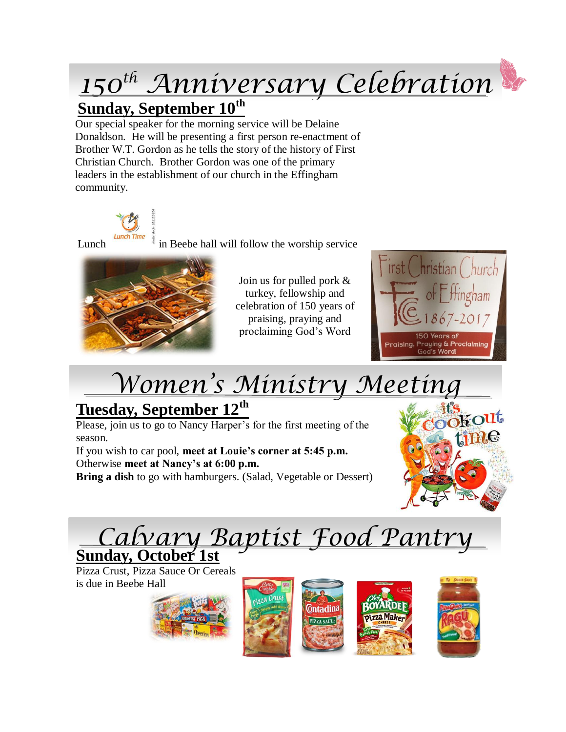# *150th Anniversary Celebration*

#### **Sunday, September 10th**

Our special speaker for the morning service will be Delaine Donaldson. He will be presenting a first person re-enactment of Brother W.T. Gordon as he tells the story of the history of First Christian Church. Brother Gordon was one of the primary leaders in the establishment of our church in the Effingham community.



Lunch in Beebe hall will follow the worship service



Join us for pulled pork & turkey, fellowship and celebration of 150 years of praising, praying and proclaiming God's Word



## *Women's Ministry Meeting*

### **Tuesday, September 12th**

Please, join us to go to Nancy Harper's for the first meeting of the season.

If you wish to car pool, **meet at Louie's corner at 5:45 p.m.** Otherwise **meet at Nancy's at 6:00 p.m.**

**Bring a dish** to go with hamburgers. (Salad, Vegetable or Dessert)



### *Calvary Baptist Food Pantry* **Sunday, October 1st**

Pizza Crust, Pizza Sauce Or Cereals is due in Beebe Hall